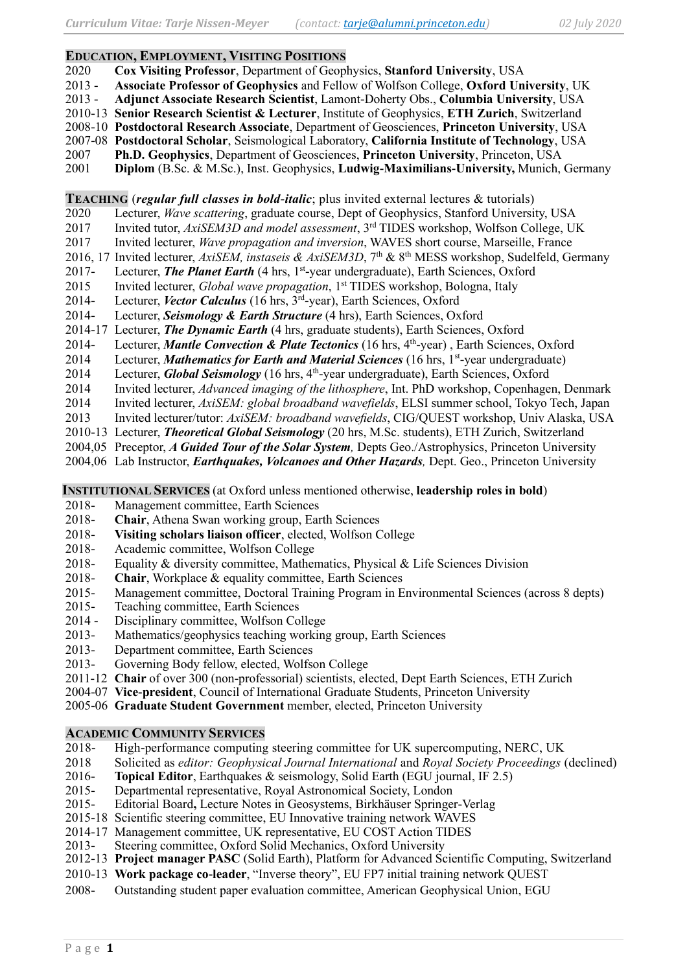## **EDUCATION, EMPLOYMENT, VISITING POSITIONS**

- 2020 **Cox Visiting Professor**, Department of Geophysics, **Stanford University**, USA
- 2013 **Associate Professor of Geophysics** and Fellow of Wolfson College, **Oxford University**, UK
- 2013 **Adjunct Associate Research Scientist**, Lamont-Doherty Obs., **Columbia University**, USA
- 2010-13 **Senior Research Scientist & Lecturer**, Institute of Geophysics, **ETH Zurich**, Switzerland
- 2008-10 **Postdoctoral Research Associate**, Department of Geosciences, **Princeton University**, USA
- 2007-08 **Postdoctoral Scholar**, Seismological Laboratory, **California Institute of Technology**, USA 2007 **Ph.D. Geophysics**, Department of Geosciences, **Princeton University**, Princeton, USA
- 2001 **Diplom** (B.Sc. & M.Sc.), Inst. Geophysics, **Ludwig-Maximilians-University,** Munich, Germany
- **TEACHING** (*regular full classes in bold-italic*; plus invited external lectures & tutorials)<br>2020 Lecturer, *Wave scattering*, graduate course, Dept of Geophysics, Stanford University
- 2020 Lecturer, *Wave scattering*, graduate course, Dept of Geophysics, Stanford University, USA
- 2017 Invited tutor, *AxiSEM3D and model assessment*, 3<sup>rd</sup> TIDES workshop, Wolfson College, UK
- 2017 Invited lecturer, *Wave propagation and inversion*, WAVES short course, Marseille, France
- 2016, 17 Invited lecturer, *AxiSEM, instaseis & AxiSEM3D*, 7th & 8th MESS workshop, Sudelfeld, Germany
- 2017- Lecturer, *The Planet Earth* (4 hrs, 1<sup>st</sup>-year undergraduate), Earth Sciences, Oxford
- 2015 Invited lecturer, *Global wave propagation*, 1<sup>st</sup> TIDES workshop, Bologna, Italy 2014- Lecturer. *Vector Calculus* (16 hrs. 3<sup>rd</sup>-vear). Earth Sciences. Oxford
- 2014- Lecturer, *Vector Calculus* (16 hrs, 3<sup>rd</sup>-year), Earth Sciences, Oxford
- 2014- Lecturer, *Seismology & Earth Structure* (4 hrs), Earth Sciences, Oxford
- 2014-17 Lecturer, *The Dynamic Earth* (4 hrs, graduate students), Earth Sciences, Oxford
- 2014- Lecturer, *Mantle Convection & Plate Tectonics* (16 hrs, 4<sup>th</sup>-year), Earth Sciences, Oxford
- 2014 Lecturer, *Mathematics for Earth and Material Sciences* (16 hrs, 1<sup>st</sup>-year undergraduate)
- 2014 Lecturer, *Global Seismology* (16 hrs, 4<sup>th</sup>-year undergraduate), Earth Sciences, Oxford
- 2014 Invited lecturer, *Advanced imaging of the lithosphere*, Int. PhD workshop, Copenhagen, Denmark
- 2014 Invited lecturer, *AxiSEM: global broadband wavefields*, ELSI summer school, Tokyo Tech, Japan
- 2013 Invited lecturer/tutor: *AxiSEM: broadband wavefields*, CIG/QUEST workshop, Univ Alaska, USA
- 2010-13 Lecturer, *Theoretical Global Seismology* (20 hrs, M.Sc. students), ETH Zurich, Switzerland
- 2004,05 Preceptor, *A Guided Tour of the Solar System,* Depts Geo./Astrophysics, Princeton University
- 2004,06 Lab Instructor, *Earthquakes, Volcanoes and Other Hazards,* Dept. Geo., Princeton University

**INSTITUTIONAL SERVICES** (at Oxford unless mentioned otherwise, **leadership roles in bold**)

- 2018- Management committee, Earth Sciences
- 2018- **Chair**, Athena Swan working group, Earth Sciences
- 2018- **Visiting scholars liaison officer**, elected, Wolfson College
- 2018- Academic committee, Wolfson College
- 2018- Equality & diversity committee, Mathematics, Physical & Life Sciences Division
- 2018- **Chair**, Workplace & equality committee, Earth Sciences
- 2015- Management committee, Doctoral Training Program in Environmental Sciences (across 8 depts)
- 2015- Teaching committee, Earth Sciences
- 2014 Disciplinary committee, Wolfson College
- 2013- Mathematics/geophysics teaching working group, Earth Sciences<br>2013- Department committee, Earth Sciences
- Department committee, Earth Sciences
- 2013- Governing Body fellow, elected, Wolfson College
- 2011-12 **Chair** of over 300 (non-professorial) scientists, elected, Dept Earth Sciences, ETH Zurich
- 2004-07 **Vice-president**, Council of International Graduate Students, Princeton University
- 2005-06 **Graduate Student Government** member, elected, Princeton University

## **ACADEMIC COMMUNITY SERVICES**

- 2018- High-performance computing steering committee for UK supercomputing, NERC, UK
- 2018 Solicited as *editor: Geophysical Journal International* and *Royal Society Proceedings* (declined)
- 2016- **Topical Editor**, Earthquakes & seismology, Solid Earth (EGU journal, IF 2.5)
- 2015- Departmental representative, Royal Astronomical Society, London
- 2015- Editorial Board**,** Lecture Notes in Geosystems, Birkhäuser Springer-Verlag
- 2015-18 Scientific steering committee, EU Innovative training network WAVES
- 2014-17 Management committee, UK representative, EU COST Action TIDES
- 2013- Steering committee, Oxford Solid Mechanics, Oxford University
- 2012-13 **Project manager PASC** (Solid Earth), Platform for Advanced Scientific Computing, Switzerland
- 2010-13 **Work package co-leader**, "Inverse theory", EU FP7 initial training network QUEST
- 2008- Outstanding student paper evaluation committee, American Geophysical Union, EGU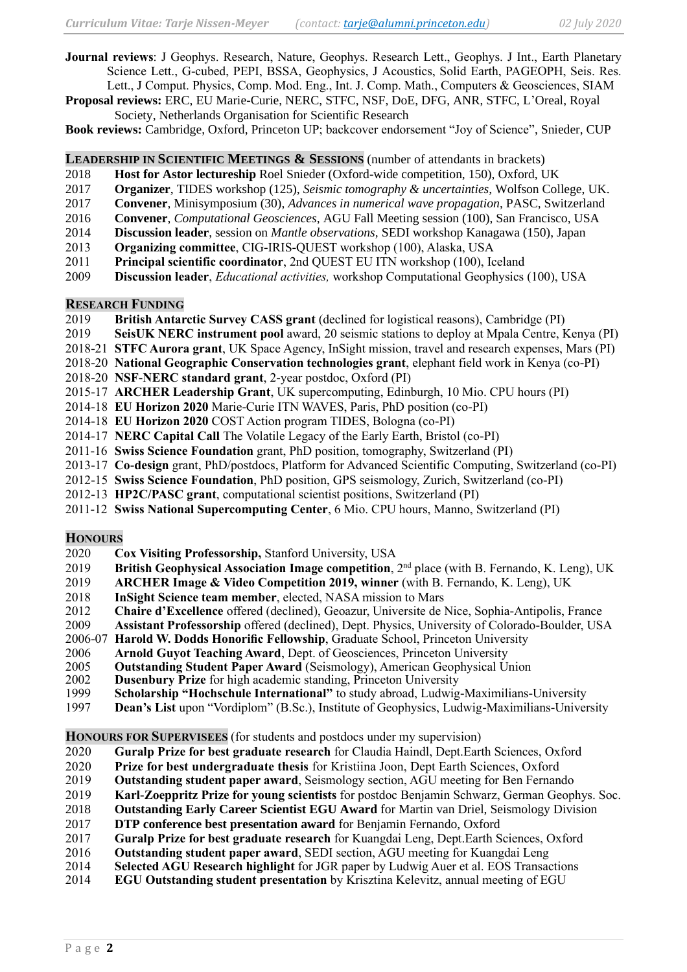- **Journal reviews**: J Geophys. Research, Nature, Geophys. Research Lett., Geophys. J Int., Earth Planetary Science Lett., G-cubed, PEPI, BSSA, Geophysics, J Acoustics, Solid Earth, PAGEOPH, Seis. Res. Lett., J Comput. Physics, Comp. Mod. Eng., Int. J. Comp. Math., Computers & Geosciences, SIAM
- **Proposal reviews:** ERC, EU Marie-Curie, NERC, STFC, NSF, DoE, DFG, ANR, STFC, L'Oreal, Royal Society, Netherlands Organisation for Scientific Research

**Book reviews:** Cambridge, Oxford, Princeton UP; backcover endorsement "Joy of Science", Snieder, CUP

**LEADERSHIP IN SCIENTIFIC MEETINGS & SESSIONS** (number of attendants in brackets)

- 2018 **Host for Astor lectureship** Roel Snieder (Oxford-wide competition, 150), Oxford, UK<br>2017 **Organizer**, TIDES workshop (125), Seismic tomography & uncertainties. Wolfson Col
- 2017 **Organizer**, TIDES workshop (125), *Seismic tomography & uncertainties,* Wolfson College, UK.
- 2017 **Convener**, Minisymposium (30), *Advances in numerical wave propagation*, PASC, Switzerland
- 2016 **Convener**, *Computational Geosciences*, AGU Fall Meeting session (100), San Francisco, USA
- 2014 **Discussion leader**, session on *Mantle observations,* SEDI workshop Kanagawa (150), Japan
- 2013 **Organizing committee**, CIG-IRIS-QUEST workshop (100), Alaska, USA
- 2011 **Principal scientific coordinator**, 2nd QUEST EU ITN workshop (100), Iceland 2009 **Discussion leader**. *Educational activities*. workshop Computational Geophysics
- 2009 **Discussion leader**, *Educational activities,* workshop Computational Geophysics (100), USA

**RESEARCH FUNDING**

- 2019 **British Antarctic Survey CASS grant** (declined for logistical reasons), Cambridge (PI)
- 2019 **SeisUK NERC instrument pool** award, 20 seismic stations to deploy at Mpala Centre, Kenya (PI)
- 2018-21 **STFC Aurora grant**, UK Space Agency, InSight mission, travel and research expenses, Mars (PI)
- 2018-20 **National Geographic Conservation technologies grant**, elephant field work in Kenya (co-PI)
- 2018-20 **NSF-NERC standard grant**, 2-year postdoc, Oxford (PI)
- 2015-17 **ARCHER Leadership Grant**, UK supercomputing, Edinburgh, 10 Mio. CPU hours (PI)
- 2014-18 **EU Horizon 2020** Marie-Curie ITN WAVES, Paris, PhD position (co-PI)
- 2014-18 **EU Horizon 2020** COST Action program TIDES, Bologna (co-PI)
- 2014-17 **NERC Capital Call** The Volatile Legacy of the Early Earth, Bristol (co-PI)
- 2011-16 **Swiss Science Foundation** grant, PhD position, tomography, Switzerland (PI)
- 2013-17 **Co-design** grant, PhD/postdocs, Platform for Advanced Scientific Computing, Switzerland (co-PI)
- 2012-15 **Swiss Science Foundation**, PhD position, GPS seismology, Zurich, Switzerland (co-PI)
- 2012-13 **HP2C/PASC grant**, computational scientist positions, Switzerland (PI)
- 2011-12 **Swiss National Supercomputing Center**, 6 Mio. CPU hours, Manno, Switzerland (PI)

## **HONOURS**

- 2020 **Cox Visiting Professorship,** Stanford University, USA
- 2019 **British Geophysical Association Image competition**, 2<sup>nd</sup> place (with B. Fernando, K. Leng), UK
- 2019 **ARCHER Image & Video Competition 2019, winner** (with B. Fernando, K. Leng), UK
- 2018 **InSight Science team member**, elected, NASA mission to Mars
- 2012 **Chaire d'Excellence** offered (declined), Geoazur, Universite de Nice, Sophia-Antipolis, France
- 2009 **Assistant Professorship** offered (declined), Dept. Physics, University of Colorado-Boulder, USA
- 2006-07 **Harold W. Dodds Honorific Fellowship**, Graduate School, Princeton University
- Arnold Guyot Teaching Award, Dept. of Geosciences, Princeton University
- 2005 **Outstanding Student Paper Award** (Seismology), American Geophysical Union 2002 **Dusenbury Prize** for high academic standing. Princeton University
- **Dusenbury Prize** for high academic standing, Princeton University
- 1999 **Scholarship "Hochschule International"** to study abroad, Ludwig-Maximilians-University<br>1997 **Dean's List** upon "Vordiplom" (B.Sc.), Institute of Geophysics, Ludwig-Maximilians-University
- 1997 **Dean's List** upon "Vordiplom" (B.Sc.), Institute of Geophysics, Ludwig-Maximilians-University

**HONOURS FOR SUPERVISEES** (for students and postdocs under my supervision)

- 2020 **Guralp Prize for best graduate research** for Claudia Haindl, Dept.Earth Sciences, Oxford
- 2020 **Prize for best undergraduate thesis** for Kristiina Joon, Dept Earth Sciences, Oxford
- 2019 **Outstanding student paper award**, Seismology section, AGU meeting for Ben Fernando
- 2019 **Karl-Zoeppritz Prize for young scientists** for postdoc Benjamin Schwarz, German Geophys. Soc.
- 2018 **Outstanding Early Career Scientist EGU Award** for Martin van Driel, Seismology Division
- 2017 **DTP conference best presentation award** for Benjamin Fernando, Oxford
- 2017 **Guralp Prize for best graduate research** for Kuangdai Leng, Dept.Earth Sciences, Oxford
- 2016 **Outstanding student paper award**, SEDI section, AGU meeting for Kuangdai Leng
- 2014 **Selected AGU Research highlight** for JGR paper by Ludwig Auer et al. EOS Transactions
- 2014 **EGU Outstanding student presentation** by Krisztina Kelevitz, annual meeting of EGU